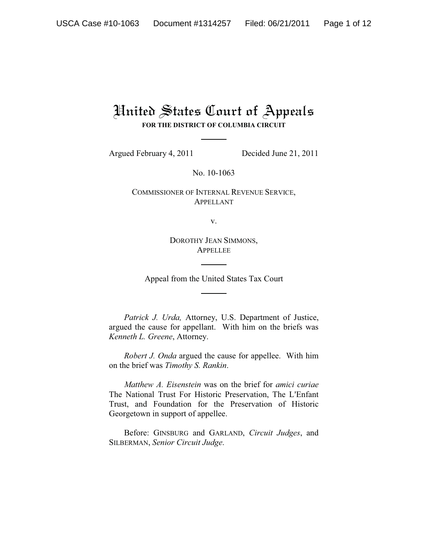# United States Court of Appeals **FOR THE DISTRICT OF COLUMBIA CIRCUIT**

Argued February 4, 2011 Decided June 21, 2011

No. 10-1063

COMMISSIONER OF INTERNAL REVENUE SERVICE, APPELLANT

v.

DOROTHY JEAN SIMMONS, APPELLEE

Appeal from the United States Tax Court

*Patrick J. Urda,* Attorney, U.S. Department of Justice, argued the cause for appellant. With him on the briefs was *Kenneth L. Greene*, Attorney.

*Robert J. Onda* argued the cause for appellee. With him on the brief was *Timothy S. Rankin*.

*Matthew A. Eisenstein* was on the brief for *amici curiae* The National Trust For Historic Preservation, The L'Enfant Trust, and Foundation for the Preservation of Historic Georgetown in support of appellee.

Before: GINSBURG and GARLAND, *Circuit Judges*, and SILBERMAN, *Senior Circuit Judge*.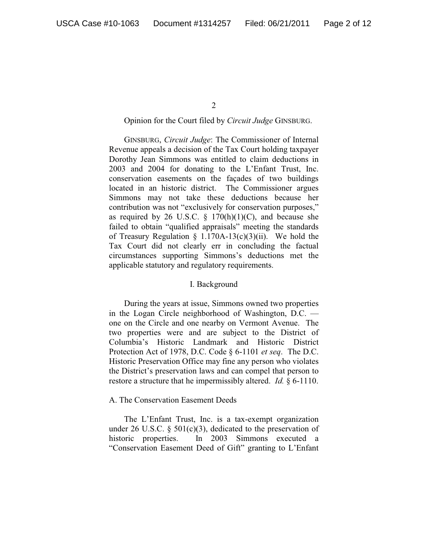$\mathcal{L}$ 

## Opinion for the Court filed by *Circuit Judge* GINSBURG.

GINSBURG, *Circuit Judge*: The Commissioner of Internal Revenue appeals a decision of the Tax Court holding taxpayer Dorothy Jean Simmons was entitled to claim deductions in 2003 and 2004 for donating to the L'Enfant Trust, Inc. conservation easements on the façades of two buildings located in an historic district. The Commissioner argues Simmons may not take these deductions because her contribution was not "exclusively for conservation purposes," as required by 26 U.S.C.  $\S$  170(h)(1)(C), and because she failed to obtain "qualified appraisals" meeting the standards of Treasury Regulation § 1.170A-13(c)(3)(ii). We hold the Tax Court did not clearly err in concluding the factual circumstances supporting Simmons's deductions met the applicable statutory and regulatory requirements.

# I. Background

During the years at issue, Simmons owned two properties in the Logan Circle neighborhood of Washington, D.C. one on the Circle and one nearby on Vermont Avenue. The two properties were and are subject to the District of Columbia's Historic Landmark and Historic District Protection Act of 1978, D.C. Code § 6-1101 *et seq*. The D.C. Historic Preservation Office may fine any person who violates the District's preservation laws and can compel that person to restore a structure that he impermissibly altered. *Id.* § 6-1110.

#### A. The Conservation Easement Deeds

The L'Enfant Trust, Inc. is a tax-exempt organization under 26 U.S.C.  $\S$  501(c)(3), dedicated to the preservation of historic properties. In 2003 Simmons executed a "Conservation Easement Deed of Gift" granting to L'Enfant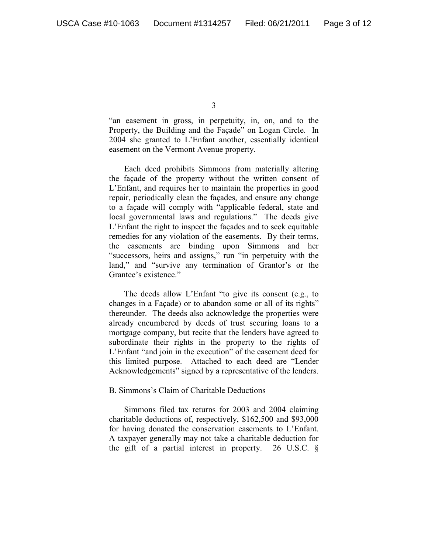"an easement in gross, in perpetuity, in, on, and to the Property, the Building and the Façade" on Logan Circle. In 2004 she granted to L'Enfant another, essentially identical easement on the Vermont Avenue property.

Each deed prohibits Simmons from materially altering the façade of the property without the written consent of L'Enfant, and requires her to maintain the properties in good repair, periodically clean the façades, and ensure any change to a façade will comply with "applicable federal, state and local governmental laws and regulations." The deeds give L'Enfant the right to inspect the façades and to seek equitable remedies for any violation of the easements. By their terms, the easements are binding upon Simmons and her "successors, heirs and assigns," run "in perpetuity with the land," and "survive any termination of Grantor's or the Grantee's existence."

The deeds allow L'Enfant "to give its consent (e.g., to changes in a Façade) or to abandon some or all of its rights" thereunder. The deeds also acknowledge the properties were already encumbered by deeds of trust securing loans to a mortgage company, but recite that the lenders have agreed to subordinate their rights in the property to the rights of L'Enfant "and join in the execution" of the easement deed for this limited purpose. Attached to each deed are "Lender Acknowledgements" signed by a representative of the lenders.

#### B. Simmons's Claim of Charitable Deductions

Simmons filed tax returns for 2003 and 2004 claiming charitable deductions of, respectively, \$162,500 and \$93,000 for having donated the conservation easements to L'Enfant. A taxpayer generally may not take a charitable deduction for the gift of a partial interest in property. 26 U.S.C. §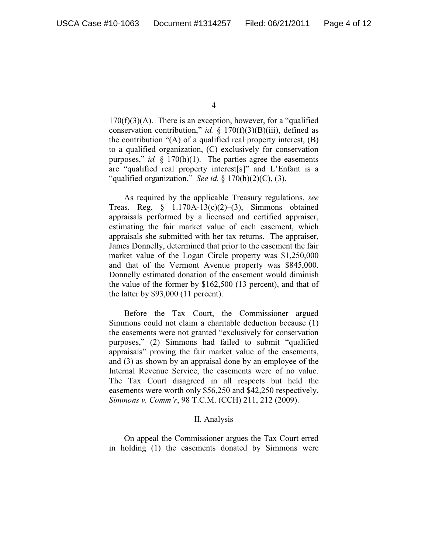$170(f)(3)(A)$ . There is an exception, however, for a "qualified" conservation contribution," *id.* § 170(f)(3)(B)(iii), defined as the contribution "(A) of a qualified real property interest, (B) to a qualified organization, (C) exclusively for conservation purposes," *id.* § 170(h)(1). The parties agree the easements are "qualified real property interest[s]" and L'Enfant is a "qualified organization." *See id.* § 170(h)(2)(C), (3).

As required by the applicable Treasury regulations, *see* Treas. Reg.  $\S$  1.170A-13(c)(2)–(3), Simmons obtained appraisals performed by a licensed and certified appraiser, estimating the fair market value of each easement, which appraisals she submitted with her tax returns. The appraiser, James Donnelly, determined that prior to the easement the fair market value of the Logan Circle property was \$1,250,000 and that of the Vermont Avenue property was \$845,000. Donnelly estimated donation of the easement would diminish the value of the former by \$162,500 (13 percent), and that of the latter by \$93,000 (11 percent).

Before the Tax Court, the Commissioner argued Simmons could not claim a charitable deduction because (1) the easements were not granted "exclusively for conservation purposes," (2) Simmons had failed to submit "qualified appraisals" proving the fair market value of the easements, and (3) as shown by an appraisal done by an employee of the Internal Revenue Service, the easements were of no value. The Tax Court disagreed in all respects but held the easements were worth only \$56,250 and \$42,250 respectively. *Simmons v. Comm'r*, 98 T.C.M. (CCH) 211, 212 (2009).

#### II. Analysis

On appeal the Commissioner argues the Tax Court erred in holding (1) the easements donated by Simmons were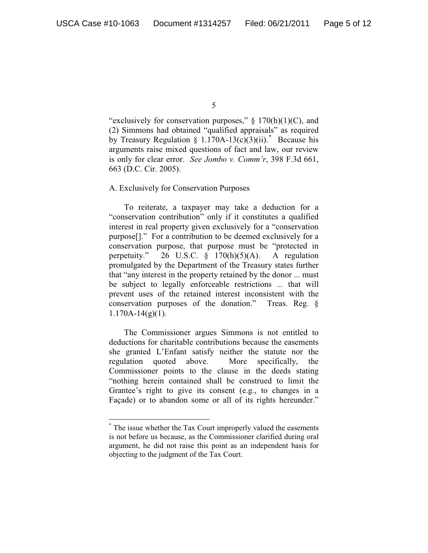"exclusively for conservation purposes,"  $\S$  170(h)(1)(C), and (2) Simmons had obtained "qualified appraisals" as required by Treasury Regulation § 1.170A-13(c)(3)(ii). Because his arguments raise mixed questions of fact and law, our review is only for clear error. *See Jombo v. Comm'r*, 398 F.3d 661, 663 (D.C. Cir. 2005).

### A. Exclusively for Conservation Purposes

To reiterate, a taxpayer may take a deduction for a "conservation contribution" only if it constitutes a qualified interest in real property given exclusively for a "conservation purpose[]." For a contribution to be deemed exclusively for a conservation purpose, that purpose must be "protected in perpetuity." 26 U.S.C. § 170(h)(5)(A). A regulation promulgated by the Department of the Treasury states further that "any interest in the property retained by the donor ... must be subject to legally enforceable restrictions ... that will prevent uses of the retained interest inconsistent with the conservation purposes of the donation." Treas. Reg. §  $1.170A-14(g)(1)$ .

The Commissioner argues Simmons is not entitled to deductions for charitable contributions because the easements she granted L'Enfant satisfy neither the statute nor the regulation quoted above. More specifically, the Commissioner points to the clause in the deeds stating "nothing herein contained shall be construed to limit the Grantee's right to give its consent (e.g., to changes in a Façade) or to abandon some or all of its rights hereunder."

<sup>\*</sup> The issue whether the Tax Court improperly valued the easements is not before us because, as the Commissioner clarified during oral argument, he did not raise this point as an independent basis for objecting to the judgment of the Tax Court.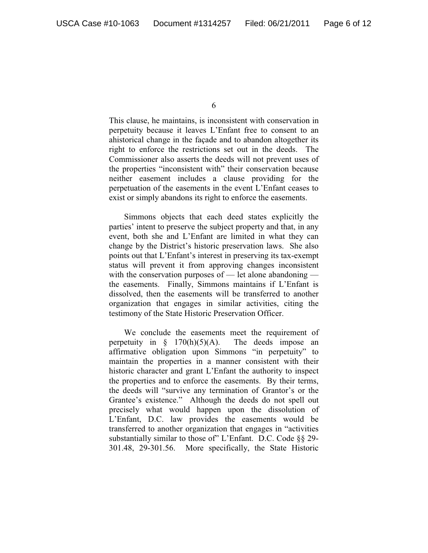This clause, he maintains, is inconsistent with conservation in perpetuity because it leaves L'Enfant free to consent to an ahistorical change in the façade and to abandon altogether its right to enforce the restrictions set out in the deeds. The Commissioner also asserts the deeds will not prevent uses of the properties "inconsistent with" their conservation because neither easement includes a clause providing for the perpetuation of the easements in the event L'Enfant ceases to exist or simply abandons its right to enforce the easements.

Simmons objects that each deed states explicitly the parties' intent to preserve the subject property and that, in any event, both she and L'Enfant are limited in what they can change by the District's historic preservation laws. She also points out that L'Enfant's interest in preserving its tax-exempt status will prevent it from approving changes inconsistent with the conservation purposes of — let alone abandoning the easements. Finally, Simmons maintains if L'Enfant is dissolved, then the easements will be transferred to another organization that engages in similar activities, citing the testimony of the State Historic Preservation Officer.

We conclude the easements meet the requirement of perpetuity in  $\S$  170(h)(5)(A). The deeds impose an affirmative obligation upon Simmons "in perpetuity" to maintain the properties in a manner consistent with their historic character and grant L'Enfant the authority to inspect the properties and to enforce the easements. By their terms, the deeds will "survive any termination of Grantor's or the Grantee's existence." Although the deeds do not spell out precisely what would happen upon the dissolution of L'Enfant, D.C. law provides the easements would be transferred to another organization that engages in "activities substantially similar to those of" L'Enfant. D.C. Code §§ 29- 301.48, 29-301.56. More specifically, the State Historic

<sup>6</sup>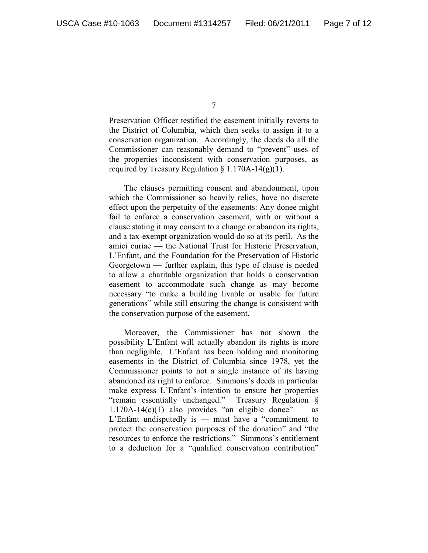Preservation Officer testified the easement initially reverts to the District of Columbia, which then seeks to assign it to a conservation organization. Accordingly, the deeds do all the Commissioner can reasonably demand to "prevent" uses of the properties inconsistent with conservation purposes, as required by Treasury Regulation  $\S 1.170A-14(g)(1)$ .

The clauses permitting consent and abandonment, upon which the Commissioner so heavily relies, have no discrete effect upon the perpetuity of the easements: Any donee might fail to enforce a conservation easement, with or without a clause stating it may consent to a change or abandon its rights, and a tax-exempt organization would do so at its peril. As the amici curiae — the National Trust for Historic Preservation, L'Enfant, and the Foundation for the Preservation of Historic Georgetown — further explain, this type of clause is needed to allow a charitable organization that holds a conservation easement to accommodate such change as may become necessary "to make a building livable or usable for future generations" while still ensuring the change is consistent with the conservation purpose of the easement.

Moreover, the Commissioner has not shown the possibility L'Enfant will actually abandon its rights is more than negligible. L'Enfant has been holding and monitoring easements in the District of Columbia since 1978, yet the Commissioner points to not a single instance of its having abandoned its right to enforce. Simmons's deeds in particular make express L'Enfant's intention to ensure her properties "remain essentially unchanged." Treasury Regulation § 1.170A-14(c)(1) also provides "an eligible donee"  $-$  as L'Enfant undisputedly is — must have a "commitment to protect the conservation purposes of the donation" and "the resources to enforce the restrictions." Simmons's entitlement to a deduction for a "qualified conservation contribution"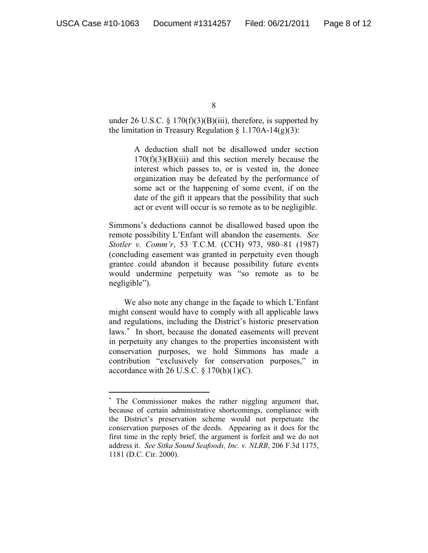under 26 U.S.C. § 170 $(f)(3)(B)(iii)$ , therefore, is supported by the limitation in Treasury Regulation  $\S 1.170A-14(g)(3)$ :

> A deduction shall not be disallowed under section  $170(f)(3)(B)(iii)$  and this section merely because the interest which passes to, or is vested in, the donee organization may be defeated by the performance of some act or the happening of some event, if on the date of the gift it appears that the possibility that such act or event will occur is so remote as to be negligible.

Simmons's deductions cannot be disallowed based upon the remote possibility L'Enfant will abandon the easements. *See Stotler v. Comm'r*, 53 T.C.M. (CCH) 973, 980–81 (1987) (concluding easement was granted in perpetuity even though grantee could abandon it because possibility future events would undermine perpetuity was "so remote as to be negligible").

We also note any change in the façade to which L'Enfant might consent would have to comply with all applicable laws and regulations, including the District's historic preservation laws.<sup>\*</sup> In short, because the donated easements will prevent in perpetuity any changes to the properties inconsistent with conservation purposes, we hold Simmons has made a contribution "exclusively for conservation purposes," in accordance with 26 U.S.C.  $\S 170(h)(1)(C)$ .

<sup>-</sup> The Commissioner makes the rather niggling argument that, because of certain administrative shortcomings, compliance with the District's preservation scheme would not perpetuate the conservation purposes of the deeds. Appearing as it does for the first time in the reply brief, the argument is forfeit and we do not address it. *See Sitka Sound Seafoods, Inc. v. NLRB*, 206 F.3d 1175, 1181 (D.C. Cir. 2000).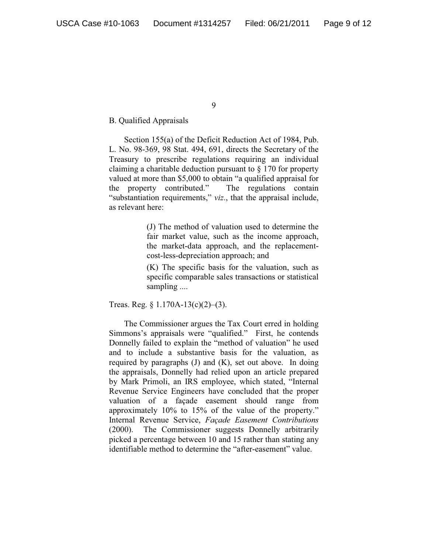#### B. Qualified Appraisals

Section 155(a) of the Deficit Reduction Act of 1984, Pub. L. No. 98-369, 98 Stat. 494, 691, directs the Secretary of the Treasury to prescribe regulations requiring an individual claiming a charitable deduction pursuant to § 170 for property valued at more than \$5,000 to obtain "a qualified appraisal for the property contributed." The regulations contain "substantiation requirements," *viz*., that the appraisal include, as relevant here:

> (J) The method of valuation used to determine the fair market value, such as the income approach, the market-data approach, and the replacementcost-less-depreciation approach; and

> (K) The specific basis for the valuation, such as specific comparable sales transactions or statistical sampling ....

Treas. Reg. § 1.170A-13(c)(2)–(3).

The Commissioner argues the Tax Court erred in holding Simmons's appraisals were "qualified." First, he contends Donnelly failed to explain the "method of valuation" he used and to include a substantive basis for the valuation, as required by paragraphs (J) and (K), set out above. In doing the appraisals, Donnelly had relied upon an article prepared by Mark Primoli, an IRS employee, which stated, "Internal Revenue Service Engineers have concluded that the proper valuation of a façade easement should range from approximately 10% to 15% of the value of the property." Internal Revenue Service, *Façade Easement Contributions* (2000). The Commissioner suggests Donnelly arbitrarily picked a percentage between 10 and 15 rather than stating any identifiable method to determine the "after-easement" value.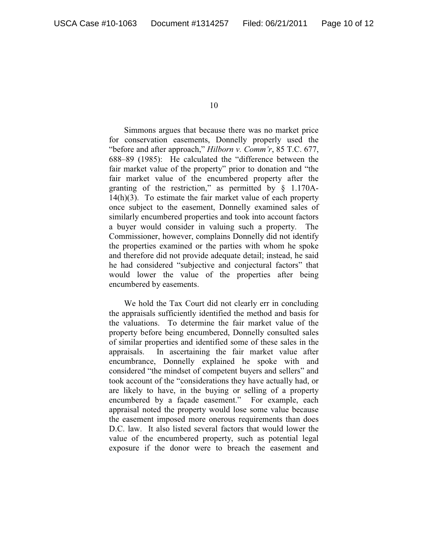Simmons argues that because there was no market price for conservation easements, Donnelly properly used the "before and after approach," *Hilborn v. Comm'r*, 85 T.C. 677, 688–89 (1985): He calculated the "difference between the fair market value of the property" prior to donation and "the fair market value of the encumbered property after the granting of the restriction," as permitted by § 1.170A-14(h)(3). To estimate the fair market value of each property once subject to the easement, Donnelly examined sales of similarly encumbered properties and took into account factors a buyer would consider in valuing such a property. The Commissioner, however, complains Donnelly did not identify the properties examined or the parties with whom he spoke and therefore did not provide adequate detail; instead, he said he had considered "subjective and conjectural factors" that would lower the value of the properties after being encumbered by easements.

We hold the Tax Court did not clearly err in concluding the appraisals sufficiently identified the method and basis for the valuations. To determine the fair market value of the property before being encumbered, Donnelly consulted sales of similar properties and identified some of these sales in the appraisals. In ascertaining the fair market value after encumbrance, Donnelly explained he spoke with and considered "the mindset of competent buyers and sellers" and took account of the "considerations they have actually had, or are likely to have, in the buying or selling of a property encumbered by a façade easement." For example, each appraisal noted the property would lose some value because the easement imposed more onerous requirements than does D.C. law. It also listed several factors that would lower the value of the encumbered property, such as potential legal exposure if the donor were to breach the easement and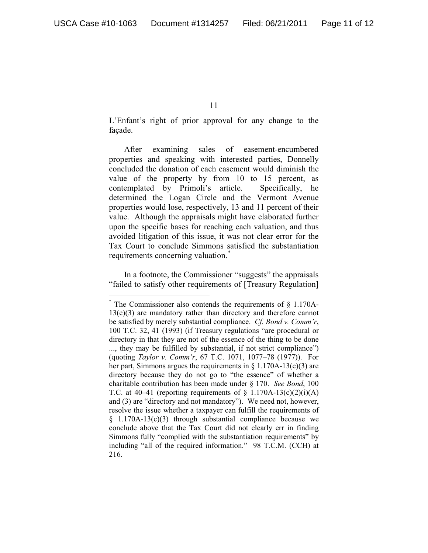L'Enfant's right of prior approval for any change to the façade.

After examining sales of easement-encumbered properties and speaking with interested parties, Donnelly concluded the donation of each easement would diminish the value of the property by from 10 to 15 percent, as contemplated by Primoli's article. Specifically, he determined the Logan Circle and the Vermont Avenue properties would lose, respectively, 13 and 11 percent of their value. Although the appraisals might have elaborated further upon the specific bases for reaching each valuation, and thus avoided litigation of this issue, it was not clear error for the Tax Court to conclude Simmons satisfied the substantiation requirements concerning valuation.<sup>\*</sup>

In a footnote, the Commissioner "suggests" the appraisals "failed to satisfy other requirements of [Treasury Regulation]

 $*$  The Commissioner also contends the requirements of  $\S$  1.170A-13(c)(3) are mandatory rather than directory and therefore cannot be satisfied by merely substantial compliance. *Cf. Bond v. Comm'r*, 100 T.C. 32, 41 (1993) (if Treasury regulations "are procedural or directory in that they are not of the essence of the thing to be done ..., they may be fulfilled by substantial, if not strict compliance") (quoting *Taylor v. Comm'r*, 67 T.C. 1071, 1077–78 (1977)). For her part, Simmons argues the requirements in  $\S$  1.170A-13(c)(3) are directory because they do not go to "the essence" of whether a charitable contribution has been made under § 170. *See Bond*, 100 T.C. at 40–41 (reporting requirements of  $\S$  1.170A-13(c)(2)(i)(A) and (3) are "directory and not mandatory"). We need not, however, resolve the issue whether a taxpayer can fulfill the requirements of  $§$  1.170A-13(c)(3) through substantial compliance because we conclude above that the Tax Court did not clearly err in finding Simmons fully "complied with the substantiation requirements" by including "all of the required information." 98 T.C.M. (CCH) at 216.